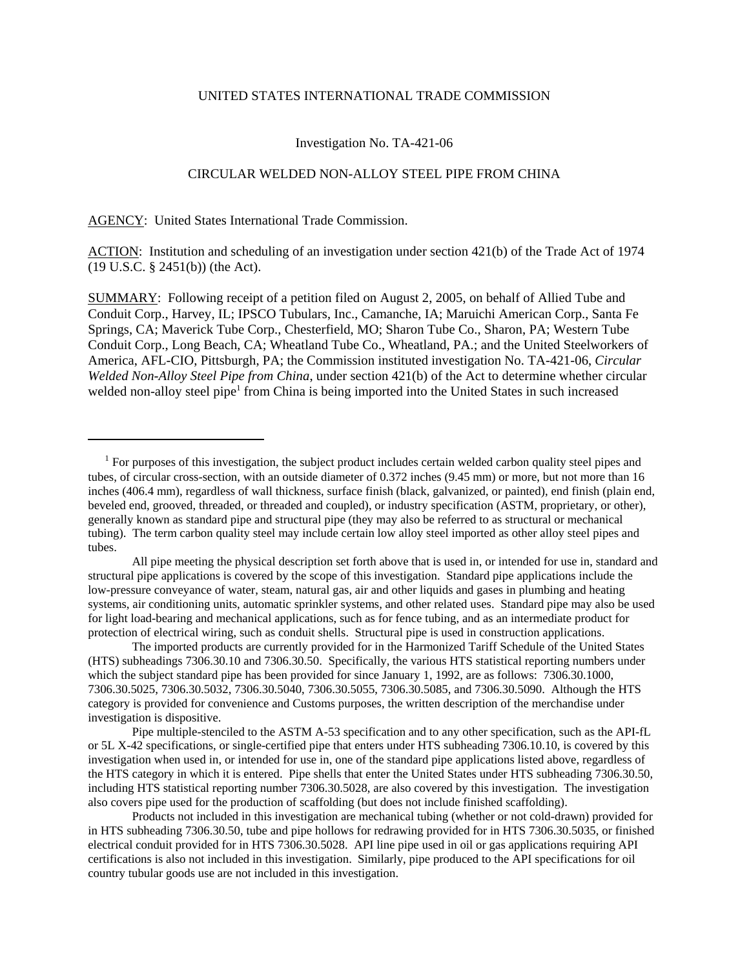#### UNITED STATES INTERNATIONAL TRADE COMMISSION

# Investigation No. TA-421-06

# CIRCULAR WELDED NON-ALLOY STEEL PIPE FROM CHINA

AGENCY: United States International Trade Commission.

ACTION: Institution and scheduling of an investigation under section 421(b) of the Trade Act of 1974 (19 U.S.C. § 2451(b)) (the Act).

SUMMARY: Following receipt of a petition filed on August 2, 2005, on behalf of Allied Tube and Conduit Corp., Harvey, IL; IPSCO Tubulars, Inc., Camanche, IA; Maruichi American Corp., Santa Fe Springs, CA; Maverick Tube Corp., Chesterfield, MO; Sharon Tube Co., Sharon, PA; Western Tube Conduit Corp., Long Beach, CA; Wheatland Tube Co., Wheatland, PA.; and the United Steelworkers of America, AFL-CIO, Pittsburgh, PA; the Commission instituted investigation No. TA-421-06, *Circular Welded Non-Alloy Steel Pipe from China*, under section 421(b) of the Act to determine whether circular welded non-alloy steel pipe<sup>1</sup> from China is being imported into the United States in such increased

All pipe meeting the physical description set forth above that is used in, or intended for use in, standard and structural pipe applications is covered by the scope of this investigation. Standard pipe applications include the low-pressure conveyance of water, steam, natural gas, air and other liquids and gases in plumbing and heating systems, air conditioning units, automatic sprinkler systems, and other related uses. Standard pipe may also be used for light load-bearing and mechanical applications, such as for fence tubing, and as an intermediate product for protection of electrical wiring, such as conduit shells. Structural pipe is used in construction applications.

The imported products are currently provided for in the Harmonized Tariff Schedule of the United States (HTS) subheadings 7306.30.10 and 7306.30.50. Specifically, the various HTS statistical reporting numbers under which the subject standard pipe has been provided for since January 1, 1992, are as follows: 7306.30.1000, 7306.30.5025, 7306.30.5032, 7306.30.5040, 7306.30.5055, 7306.30.5085, and 7306.30.5090. Although the HTS category is provided for convenience and Customs purposes, the written description of the merchandise under investigation is dispositive.

Pipe multiple-stenciled to the ASTM A-53 specification and to any other specification, such as the API-fL or 5L X-42 specifications, or single-certified pipe that enters under HTS subheading 7306.10.10, is covered by this investigation when used in, or intended for use in, one of the standard pipe applications listed above, regardless of the HTS category in which it is entered. Pipe shells that enter the United States under HTS subheading 7306.30.50, including HTS statistical reporting number 7306.30.5028, are also covered by this investigation. The investigation also covers pipe used for the production of scaffolding (but does not include finished scaffolding).

Products not included in this investigation are mechanical tubing (whether or not cold-drawn) provided for in HTS subheading 7306.30.50, tube and pipe hollows for redrawing provided for in HTS 7306.30.5035, or finished electrical conduit provided for in HTS 7306.30.5028. API line pipe used in oil or gas applications requiring API certifications is also not included in this investigation. Similarly, pipe produced to the API specifications for oil country tubular goods use are not included in this investigation.

<sup>&</sup>lt;sup>1</sup> For purposes of this investigation, the subject product includes certain welded carbon quality steel pipes and tubes, of circular cross-section, with an outside diameter of 0.372 inches (9.45 mm) or more, but not more than 16 inches (406.4 mm), regardless of wall thickness, surface finish (black, galvanized, or painted), end finish (plain end, beveled end, grooved, threaded, or threaded and coupled), or industry specification (ASTM, proprietary, or other), generally known as standard pipe and structural pipe (they may also be referred to as structural or mechanical tubing). The term carbon quality steel may include certain low alloy steel imported as other alloy steel pipes and tubes.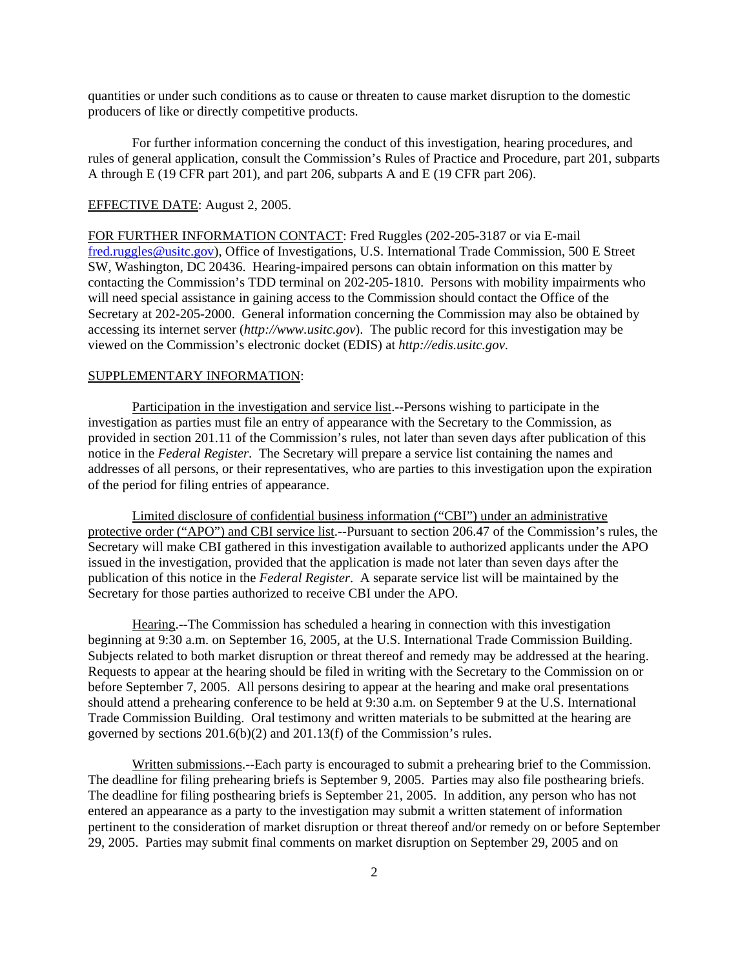quantities or under such conditions as to cause or threaten to cause market disruption to the domestic producers of like or directly competitive products.

For further information concerning the conduct of this investigation, hearing procedures, and rules of general application, consult the Commission's Rules of Practice and Procedure, part 201, subparts A through E (19 CFR part 201), and part 206, subparts A and E (19 CFR part 206).

## EFFECTIVE DATE: August 2, 2005.

FOR FURTHER INFORMATION CONTACT: Fred Ruggles (202-205-3187 or via E-mail fred.ruggles@usitc.gov), Office of Investigations, U.S. International Trade Commission, 500 E Street SW, Washington, DC 20436. Hearing-impaired persons can obtain information on this matter by contacting the Commission's TDD terminal on 202-205-1810. Persons with mobility impairments who will need special assistance in gaining access to the Commission should contact the Office of the Secretary at 202-205-2000. General information concerning the Commission may also be obtained by accessing its internet server (*http://www.usitc.gov*). The public record for this investigation may be viewed on the Commission's electronic docket (EDIS) at *http://edis.usitc.gov*.

### SUPPLEMENTARY INFORMATION:

Participation in the investigation and service list.--Persons wishing to participate in the investigation as parties must file an entry of appearance with the Secretary to the Commission, as provided in section 201.11 of the Commission's rules, not later than seven days after publication of this notice in the *Federal Register*. The Secretary will prepare a service list containing the names and addresses of all persons, or their representatives, who are parties to this investigation upon the expiration of the period for filing entries of appearance.

Limited disclosure of confidential business information ("CBI") under an administrative protective order ("APO") and CBI service list.--Pursuant to section 206.47 of the Commission's rules, the Secretary will make CBI gathered in this investigation available to authorized applicants under the APO issued in the investigation, provided that the application is made not later than seven days after the publication of this notice in the *Federal Register*. A separate service list will be maintained by the Secretary for those parties authorized to receive CBI under the APO.

Hearing.--The Commission has scheduled a hearing in connection with this investigation beginning at 9:30 a.m. on September 16, 2005, at the U.S. International Trade Commission Building. Subjects related to both market disruption or threat thereof and remedy may be addressed at the hearing. Requests to appear at the hearing should be filed in writing with the Secretary to the Commission on or before September 7, 2005. All persons desiring to appear at the hearing and make oral presentations should attend a prehearing conference to be held at 9:30 a.m. on September 9 at the U.S. International Trade Commission Building. Oral testimony and written materials to be submitted at the hearing are governed by sections 201.6(b)(2) and 201.13(f) of the Commission's rules.

Written submissions.--Each party is encouraged to submit a prehearing brief to the Commission. The deadline for filing prehearing briefs is September 9, 2005. Parties may also file posthearing briefs. The deadline for filing posthearing briefs is September 21, 2005. In addition, any person who has not entered an appearance as a party to the investigation may submit a written statement of information pertinent to the consideration of market disruption or threat thereof and/or remedy on or before September 29, 2005. Parties may submit final comments on market disruption on September 29, 2005 and on